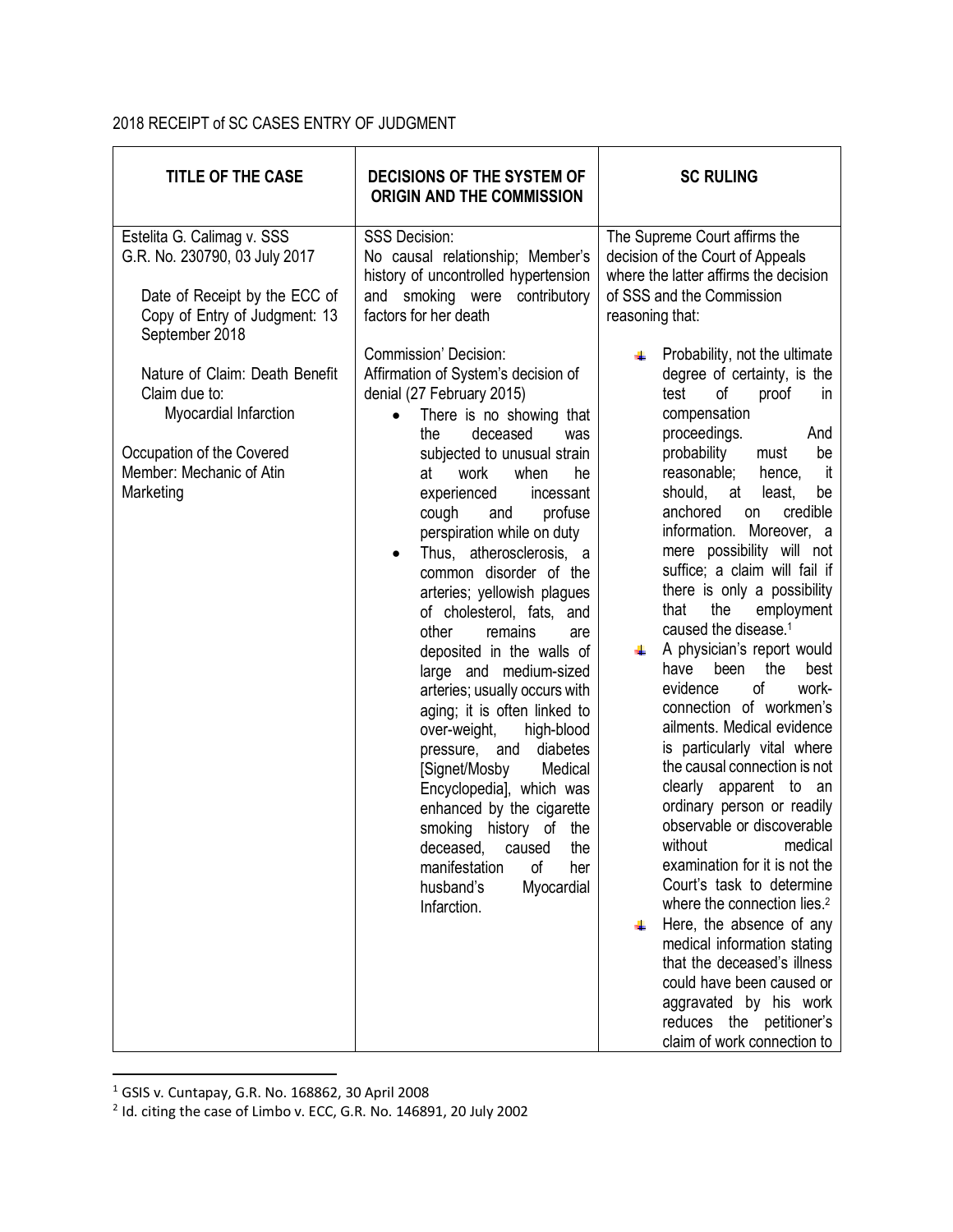## 2018 RECEIPT of SC CASES ENTRY OF JUDGMENT

| <b>TITLE OF THE CASE</b>                                                                                                                        | <b>DECISIONS OF THE SYSTEM OF</b><br><b>ORIGIN AND THE COMMISSION</b>                                                                                                                                                                                                                                                                                                                                                                                                                                                                                                                                                                                                                                                                                                                                                                                                    | <b>SC RULING</b>                                                                                                                                                                                                                                                                                                                                                                                                                                                                                                                                                                                                                                                                                                                                                                                                                                                                                                                                                                                                                                                                                                |
|-------------------------------------------------------------------------------------------------------------------------------------------------|--------------------------------------------------------------------------------------------------------------------------------------------------------------------------------------------------------------------------------------------------------------------------------------------------------------------------------------------------------------------------------------------------------------------------------------------------------------------------------------------------------------------------------------------------------------------------------------------------------------------------------------------------------------------------------------------------------------------------------------------------------------------------------------------------------------------------------------------------------------------------|-----------------------------------------------------------------------------------------------------------------------------------------------------------------------------------------------------------------------------------------------------------------------------------------------------------------------------------------------------------------------------------------------------------------------------------------------------------------------------------------------------------------------------------------------------------------------------------------------------------------------------------------------------------------------------------------------------------------------------------------------------------------------------------------------------------------------------------------------------------------------------------------------------------------------------------------------------------------------------------------------------------------------------------------------------------------------------------------------------------------|
| Estelita G. Calimag v. SSS<br>G.R. No. 230790, 03 July 2017<br>Date of Receipt by the ECC of<br>Copy of Entry of Judgment: 13<br>September 2018 | <b>SSS Decision:</b><br>No causal relationship; Member's<br>history of uncontrolled hypertension<br>and smoking were contributory<br>factors for her death                                                                                                                                                                                                                                                                                                                                                                                                                                                                                                                                                                                                                                                                                                               | The Supreme Court affirms the<br>decision of the Court of Appeals<br>where the latter affirms the decision<br>of SSS and the Commission<br>reasoning that:                                                                                                                                                                                                                                                                                                                                                                                                                                                                                                                                                                                                                                                                                                                                                                                                                                                                                                                                                      |
| Nature of Claim: Death Benefit<br>Claim due to:<br>Myocardial Infarction<br>Occupation of the Covered<br>Member: Mechanic of Atin<br>Marketing  | Commission' Decision:<br>Affirmation of System's decision of<br>denial (27 February 2015)<br>There is no showing that<br>$\bullet$<br>deceased<br>the<br>was<br>subjected to unusual strain<br>at<br>work<br>when<br>he<br>experienced<br>incessant<br>profuse<br>cough<br>and<br>perspiration while on duty<br>Thus, atherosclerosis, a<br>$\bullet$<br>common disorder of the<br>arteries; yellowish plagues<br>of cholesterol, fats, and<br>other<br>remains<br>are<br>deposited in the walls of<br>large and medium-sized<br>arteries; usually occurs with<br>aging; it is often linked to<br>over-weight,<br>high-blood<br>diabetes<br>pressure, and<br>[Signet/Mosby<br>Medical<br>Encyclopedia], which was<br>enhanced by the cigarette<br>smoking history of the<br>deceased, caused the<br>manifestation<br>οf<br>her<br>husband's<br>Myocardial<br>Infarction. | Probability, not the ultimate<br>₩<br>degree of certainty, is the<br>test<br>of<br>proof<br>in<br>compensation<br>proceedings.<br>And<br>probability<br>be<br>must<br>reasonable;<br>it<br>hence,<br>should, at<br>least,<br>be<br>anchored<br>credible<br>on<br>information. Moreover, a<br>mere possibility will not<br>suffice; a claim will fail if<br>there is only a possibility<br>the<br>employment<br>that<br>caused the disease. <sup>1</sup><br>A physician's report would<br>٠<br>been<br>the<br>best<br>have<br>of<br>evidence<br>work-<br>connection of workmen's<br>ailments. Medical evidence<br>is particularly vital where<br>the causal connection is not<br>clearly apparent to an<br>ordinary person or readily<br>observable or discoverable<br>without medical<br>examination for it is not the<br>Court's task to determine<br>where the connection lies. <sup>2</sup><br>Here, the absence of any<br>₩<br>medical information stating<br>that the deceased's illness<br>could have been caused or<br>aggravated by his work<br>reduces the petitioner's<br>claim of work connection to |

 <sup>1</sup> GSIS v. Cuntapay, G.R. No. 168862, 30 April 2008

 $2$  Id. citing the case of Limbo v. ECC, G.R. No. 146891, 20 July 2002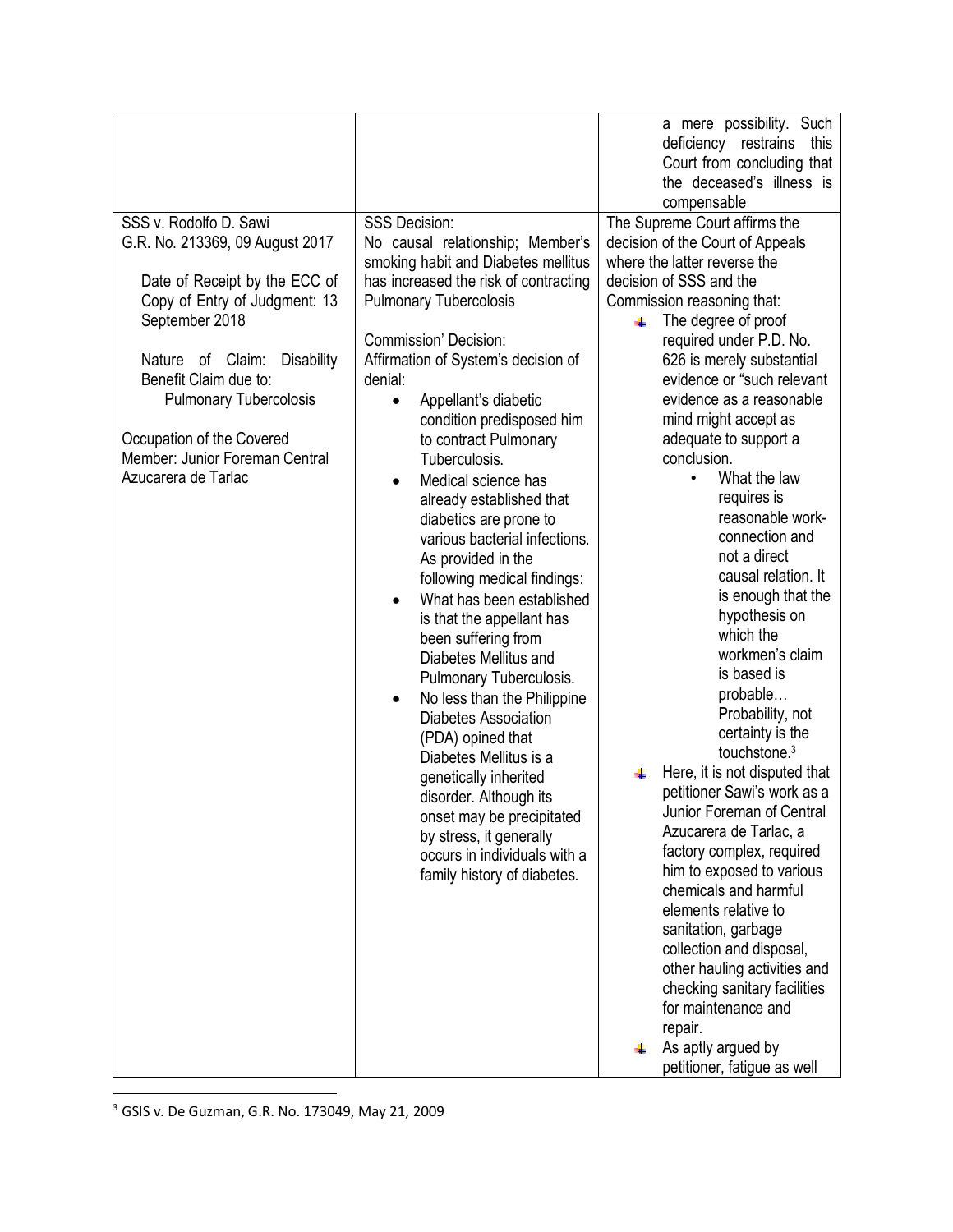|                                                                                                                                                                                                                                                                                                                                        |                                                                                                                                                                                                                                                                                                                                                                                                                                                                                                                                                                                                                                                                                                                                                                                                                                                                                                                                                                                                               | a mere possibility. Such<br>deficiency restrains<br>this                                                                                                                                                                                                                                                                                                                                                                                                                                                                                                                                                                                                                                                                                                                                                                                                                                                                                               |
|----------------------------------------------------------------------------------------------------------------------------------------------------------------------------------------------------------------------------------------------------------------------------------------------------------------------------------------|---------------------------------------------------------------------------------------------------------------------------------------------------------------------------------------------------------------------------------------------------------------------------------------------------------------------------------------------------------------------------------------------------------------------------------------------------------------------------------------------------------------------------------------------------------------------------------------------------------------------------------------------------------------------------------------------------------------------------------------------------------------------------------------------------------------------------------------------------------------------------------------------------------------------------------------------------------------------------------------------------------------|--------------------------------------------------------------------------------------------------------------------------------------------------------------------------------------------------------------------------------------------------------------------------------------------------------------------------------------------------------------------------------------------------------------------------------------------------------------------------------------------------------------------------------------------------------------------------------------------------------------------------------------------------------------------------------------------------------------------------------------------------------------------------------------------------------------------------------------------------------------------------------------------------------------------------------------------------------|
|                                                                                                                                                                                                                                                                                                                                        |                                                                                                                                                                                                                                                                                                                                                                                                                                                                                                                                                                                                                                                                                                                                                                                                                                                                                                                                                                                                               | the deceased's illness is                                                                                                                                                                                                                                                                                                                                                                                                                                                                                                                                                                                                                                                                                                                                                                                                                                                                                                                              |
| SSS v. Rodolfo D. Sawi<br>G.R. No. 213369, 09 August 2017<br>Date of Receipt by the ECC of<br>Copy of Entry of Judgment: 13<br>September 2018<br>Nature of Claim:<br><b>Disability</b><br>Benefit Claim due to:<br><b>Pulmonary Tubercolosis</b><br>Occupation of the Covered<br>Member: Junior Foreman Central<br>Azucarera de Tarlac | <b>SSS Decision:</b><br>No causal relationship; Member's<br>smoking habit and Diabetes mellitus<br>has increased the risk of contracting<br><b>Pulmonary Tubercolosis</b><br><b>Commission' Decision:</b><br>Affirmation of System's decision of<br>denial:<br>Appellant's diabetic<br>$\bullet$<br>condition predisposed him<br>to contract Pulmonary<br>Tuberculosis.<br>Medical science has<br>$\bullet$<br>already established that<br>diabetics are prone to<br>various bacterial infections.<br>As provided in the<br>following medical findings:<br>What has been established<br>$\bullet$<br>is that the appellant has<br>been suffering from<br>Diabetes Mellitus and<br>Pulmonary Tuberculosis.<br>No less than the Philippine<br>$\bullet$<br><b>Diabetes Association</b><br>(PDA) opined that<br>Diabetes Mellitus is a<br>genetically inherited<br>disorder. Although its<br>onset may be precipitated<br>by stress, it generally<br>occurs in individuals with a<br>family history of diabetes. | Court from concluding that<br>compensable<br>The Supreme Court affirms the<br>decision of the Court of Appeals<br>where the latter reverse the<br>decision of SSS and the<br>Commission reasoning that:<br>The degree of proof<br>₩<br>required under P.D. No.<br>626 is merely substantial<br>evidence or "such relevant<br>evidence as a reasonable<br>mind might accept as<br>adequate to support a<br>conclusion.<br>What the law<br>$\bullet$<br>requires is<br>reasonable work-<br>connection and<br>not a direct<br>causal relation. It<br>is enough that the<br>hypothesis on<br>which the<br>workmen's claim<br>is based is<br>probable<br>Probability, not<br>certainty is the<br>touchstone. <sup>3</sup><br>Here, it is not disputed that<br>petitioner Sawi's work as a<br>Junior Foreman of Central<br>Azucarera de Tarlac, a<br>factory complex, required<br>him to exposed to various<br>chemicals and harmful<br>elements relative to |
|                                                                                                                                                                                                                                                                                                                                        |                                                                                                                                                                                                                                                                                                                                                                                                                                                                                                                                                                                                                                                                                                                                                                                                                                                                                                                                                                                                               | sanitation, garbage<br>collection and disposal,<br>other hauling activities and                                                                                                                                                                                                                                                                                                                                                                                                                                                                                                                                                                                                                                                                                                                                                                                                                                                                        |
|                                                                                                                                                                                                                                                                                                                                        |                                                                                                                                                                                                                                                                                                                                                                                                                                                                                                                                                                                                                                                                                                                                                                                                                                                                                                                                                                                                               | checking sanitary facilities<br>for maintenance and<br>repair.                                                                                                                                                                                                                                                                                                                                                                                                                                                                                                                                                                                                                                                                                                                                                                                                                                                                                         |
|                                                                                                                                                                                                                                                                                                                                        |                                                                                                                                                                                                                                                                                                                                                                                                                                                                                                                                                                                                                                                                                                                                                                                                                                                                                                                                                                                                               | As aptly argued by<br>petitioner, fatigue as well                                                                                                                                                                                                                                                                                                                                                                                                                                                                                                                                                                                                                                                                                                                                                                                                                                                                                                      |

3 GSIS v. De Guzman, G.R. No. 173049, May 21, 2009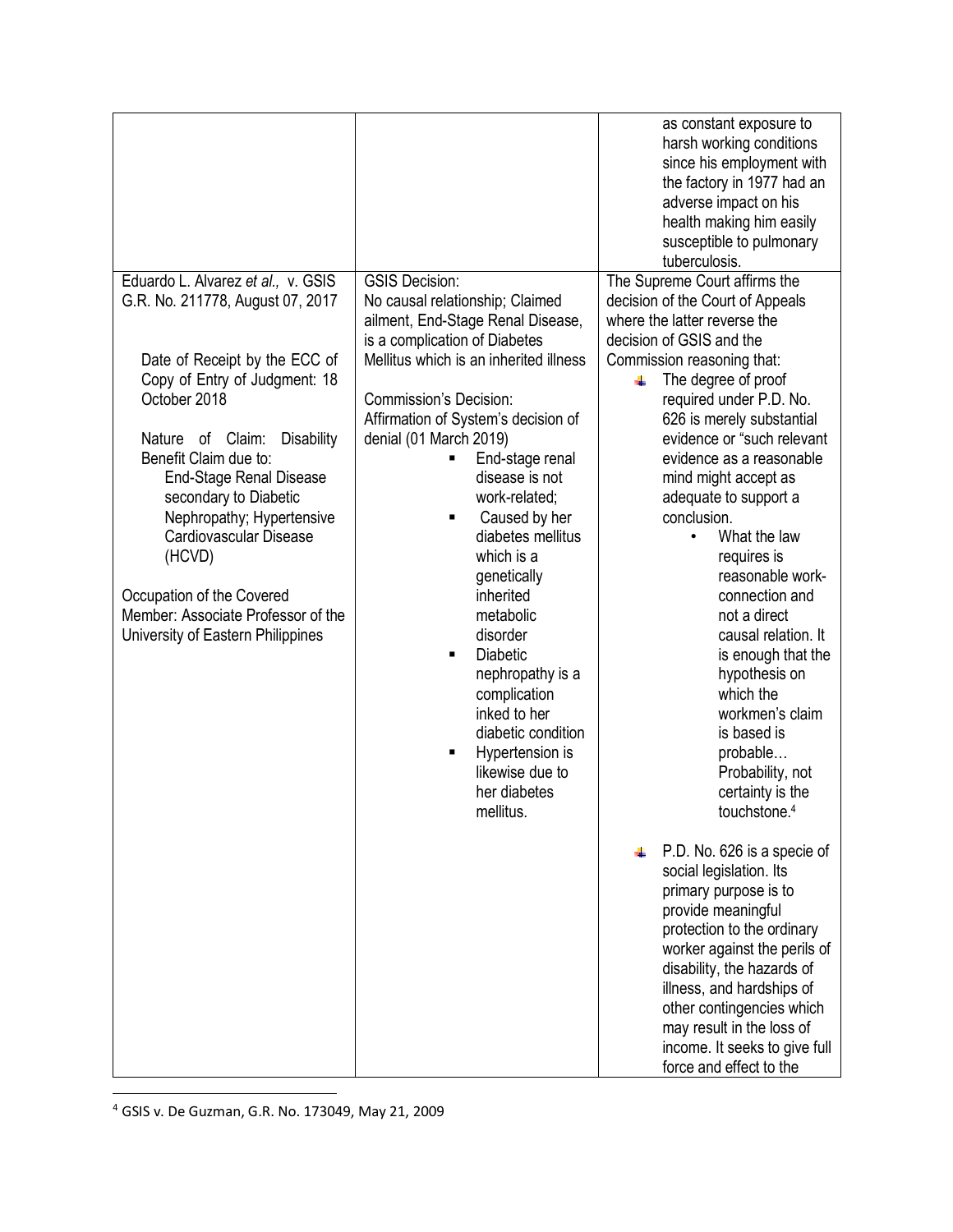|                                                                                                                                                                                                                                                                                                                                                                                                                                                                |                                                                                                                                                                                                                                                                                                                                                                                                                                                                                                                                                                                                           | as constant exposure to<br>harsh working conditions<br>since his employment with<br>the factory in 1977 had an<br>adverse impact on his<br>health making him easily<br>susceptible to pulmonary<br>tuberculosis.                                                                                                                                                                                                                                                                                                                                                                                                                                                                                                                                                                                                                                                                                                                                                                                                                 |
|----------------------------------------------------------------------------------------------------------------------------------------------------------------------------------------------------------------------------------------------------------------------------------------------------------------------------------------------------------------------------------------------------------------------------------------------------------------|-----------------------------------------------------------------------------------------------------------------------------------------------------------------------------------------------------------------------------------------------------------------------------------------------------------------------------------------------------------------------------------------------------------------------------------------------------------------------------------------------------------------------------------------------------------------------------------------------------------|----------------------------------------------------------------------------------------------------------------------------------------------------------------------------------------------------------------------------------------------------------------------------------------------------------------------------------------------------------------------------------------------------------------------------------------------------------------------------------------------------------------------------------------------------------------------------------------------------------------------------------------------------------------------------------------------------------------------------------------------------------------------------------------------------------------------------------------------------------------------------------------------------------------------------------------------------------------------------------------------------------------------------------|
| Eduardo L. Alvarez et al., v. GSIS<br>G.R. No. 211778, August 07, 2017<br>Date of Receipt by the ECC of<br>Copy of Entry of Judgment: 18<br>October 2018<br><b>Disability</b><br>Nature of Claim:<br>Benefit Claim due to:<br><b>End-Stage Renal Disease</b><br>secondary to Diabetic<br>Nephropathy; Hypertensive<br>Cardiovascular Disease<br>(HCVD)<br>Occupation of the Covered<br>Member: Associate Professor of the<br>University of Eastern Philippines | <b>GSIS Decision:</b><br>No causal relationship; Claimed<br>ailment, End-Stage Renal Disease,<br>is a complication of Diabetes<br>Mellitus which is an inherited illness<br><b>Commission's Decision:</b><br>Affirmation of System's decision of<br>denial (01 March 2019)<br>End-stage renal<br>disease is not<br>work-related;<br>Caused by her<br>diabetes mellitus<br>which is a<br>genetically<br>inherited<br>metabolic<br>disorder<br><b>Diabetic</b><br>nephropathy is a<br>complication<br>inked to her<br>diabetic condition<br>Hypertension is<br>likewise due to<br>her diabetes<br>mellitus. | The Supreme Court affirms the<br>decision of the Court of Appeals<br>where the latter reverse the<br>decision of GSIS and the<br>Commission reasoning that:<br>The degree of proof<br>÷<br>required under P.D. No.<br>626 is merely substantial<br>evidence or "such relevant<br>evidence as a reasonable<br>mind might accept as<br>adequate to support a<br>conclusion.<br>What the law<br>$\bullet$<br>requires is<br>reasonable work-<br>connection and<br>not a direct<br>causal relation. It<br>is enough that the<br>hypothesis on<br>which the<br>workmen's claim<br>is based is<br>probable<br>Probability, not<br>certainty is the<br>touchstone. <sup>4</sup><br>P.D. No. 626 is a specie of<br>social legislation. Its<br>primary purpose is to<br>provide meaningful<br>protection to the ordinary<br>worker against the perils of<br>disability, the hazards of<br>illness, and hardships of<br>other contingencies which<br>may result in the loss of<br>income. It seeks to give full<br>force and effect to the |

4 GSIS v. De Guzman, G.R. No. 173049, May 21, 2009